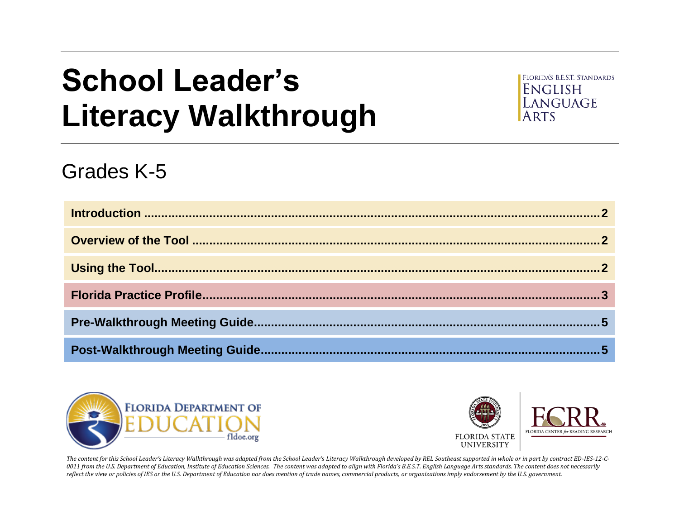# **School Leader's Literacy Walkthrough**



# Grades K-5





The content for this School Leader's Literacy Walkthrough was adapted from the School Leader's Literacy Walkthrough developed by REL Southeast supported in whole or in part by contract ED-IES-12-C-*0011 from the U.S. Department of Education, Institute of Education Sciences. The content was adapted to align with Florida's B.E.S.T. English Language Arts standards. The content does not necessarily reflect the view or policies of IES or the U.S. Department of Education nor does mention of trade names, commercial products, or organizations imply endorsement by the U.S. government.*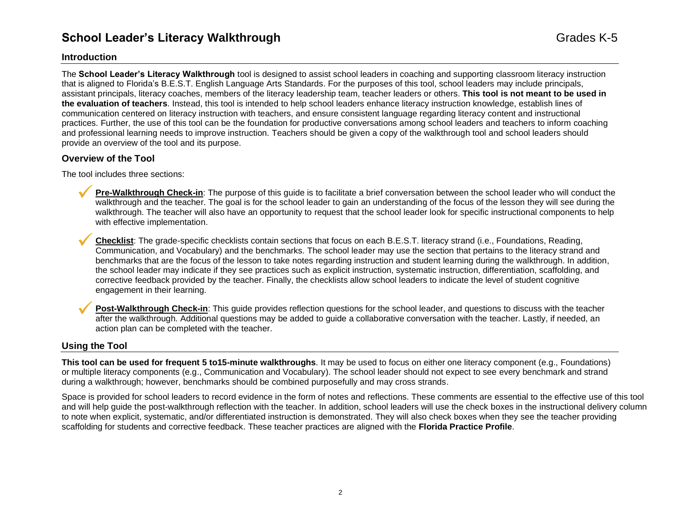## **School Leader's Literacy Walkthrough Grades K-5** Grades K-5

#### <span id="page-1-0"></span>**Introduction**

The **School Leader's Literacy Walkthrough** tool is designed to assist school leaders in coaching and supporting classroom literacy instruction that is aligned to Florida's B.E.S.T. English Language Arts Standards. For the purposes of this tool, school leaders may include principals, assistant principals, literacy coaches, members of the literacy leadership team, teacher leaders or others. **This tool is not meant to be used in the evaluation of teachers**. Instead, this tool is intended to help school leaders enhance literacy instruction knowledge, establish lines of communication centered on literacy instruction with teachers, and ensure consistent language regarding literacy content and instructional practices. Further, the use of this tool can be the foundation for productive conversations among school leaders and teachers to inform coaching and professional learning needs to improve instruction. Teachers should be given a copy of the walkthrough tool and school leaders should provide an overview of the tool and its purpose.

#### <span id="page-1-1"></span>**Overview of the Tool**

The tool includes three sections:

- Pre-Walkthrough Check-in: The purpose of this guide is to facilitate a brief conversation between the school leader who will conduct the walkthrough and the teacher. The goal is for the school leader to gain an understanding of the focus of the lesson they will see during the walkthrough. The teacher will also have an opportunity to request that the school leader look for specific instructional components to help with effective implementation.
- ✓**Checklist**: The grade-specific checklists contain sections that focus on each B.E.S.T. literacy strand (i.e., Foundations, Reading, Communication, and Vocabulary) and the benchmarks. The school leader may use the section that pertains to the literacy strand and benchmarks that are the focus of the lesson to take notes regarding instruction and student learning during the walkthrough. In addition, the school leader may indicate if they see practices such as explicit instruction, systematic instruction, differentiation, scaffolding, and corrective feedback provided by the teacher. Finally, the checklists allow school leaders to indicate the level of student cognitive engagement in their learning.
- Post-Walkthrough Check-in: This guide provides reflection questions for the school leader, and questions to discuss with the teacher after the walkthrough. Additional questions may be added to guide a collaborative conversation with the teacher. Lastly, if needed, an action plan can be completed with the teacher.

#### <span id="page-1-2"></span>**Using the Tool**

**This tool can be used for frequent 5 to15-minute walkthroughs**. It may be used to focus on either one literacy component (e.g., Foundations) or multiple literacy components (e.g., Communication and Vocabulary). The school leader should not expect to see every benchmark and strand during a walkthrough; however, benchmarks should be combined purposefully and may cross strands.

Space is provided for school leaders to record evidence in the form of notes and reflections. These comments are essential to the effective use of this tool and will help guide the post-walkthrough reflection with the teacher. In addition, school leaders will use the check boxes in the instructional delivery column to note when explicit, systematic, and/or differentiated instruction is demonstrated. They will also check boxes when they see the teacher providing scaffolding for students and corrective feedback. These teacher practices are aligned with the **Florida Practice Profile**.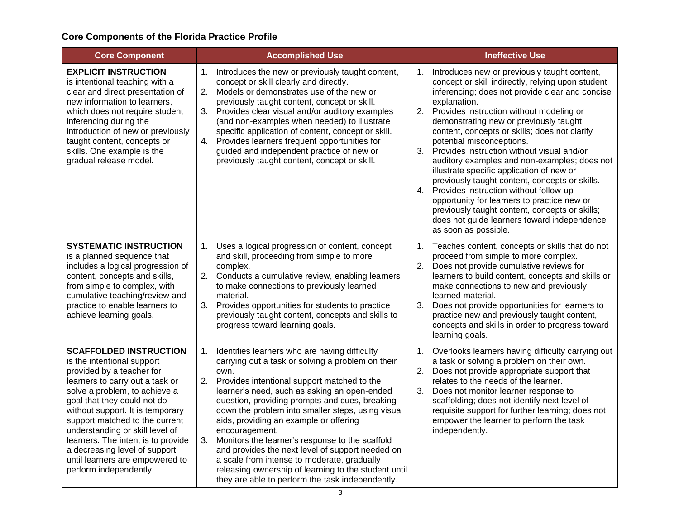### <span id="page-2-0"></span>**Core Components of the Florida Practice Profile**

| <b>Core Component</b><br><b>Accomplished Use</b>                                                                                                                                                                                                                                                                                                                                                                                         |                                                                                                                                                                                                                                                                                                                                                                                                                                                                                                                                                                                                                                                               | <b>Ineffective Use</b>                                                                                                                                                                                                                                                                                                                                                                                                                                                                                                                                                                                                                                                                                                                                                       |  |  |
|------------------------------------------------------------------------------------------------------------------------------------------------------------------------------------------------------------------------------------------------------------------------------------------------------------------------------------------------------------------------------------------------------------------------------------------|---------------------------------------------------------------------------------------------------------------------------------------------------------------------------------------------------------------------------------------------------------------------------------------------------------------------------------------------------------------------------------------------------------------------------------------------------------------------------------------------------------------------------------------------------------------------------------------------------------------------------------------------------------------|------------------------------------------------------------------------------------------------------------------------------------------------------------------------------------------------------------------------------------------------------------------------------------------------------------------------------------------------------------------------------------------------------------------------------------------------------------------------------------------------------------------------------------------------------------------------------------------------------------------------------------------------------------------------------------------------------------------------------------------------------------------------------|--|--|
| <b>EXPLICIT INSTRUCTION</b><br>is intentional teaching with a<br>clear and direct presentation of<br>new information to learners,<br>which does not require student<br>inferencing during the<br>introduction of new or previously<br>taught content, concepts or<br>skills. One example is the<br>gradual release model.                                                                                                                | Introduces the new or previously taught content,<br>1.<br>concept or skill clearly and directly.<br>Models or demonstrates use of the new or<br>2.<br>previously taught content, concept or skill.<br>Provides clear visual and/or auditory examples<br>3.<br>(and non-examples when needed) to illustrate<br>specific application of content, concept or skill.<br>4. Provides learners frequent opportunities for<br>guided and independent practice of new or<br>previously taught content, concept or skill.                                                                                                                                              | Introduces new or previously taught content,<br>1.<br>concept or skill indirectly, relying upon student<br>inferencing; does not provide clear and concise<br>explanation.<br>Provides instruction without modeling or<br>2.<br>demonstrating new or previously taught<br>content, concepts or skills; does not clarify<br>potential misconceptions.<br>3.<br>Provides instruction without visual and/or<br>auditory examples and non-examples; does not<br>illustrate specific application of new or<br>previously taught content, concepts or skills.<br>4. Provides instruction without follow-up<br>opportunity for learners to practice new or<br>previously taught content, concepts or skills;<br>does not guide learners toward independence<br>as soon as possible. |  |  |
| <b>SYSTEMATIC INSTRUCTION</b><br>is a planned sequence that<br>includes a logical progression of<br>content, concepts and skills,<br>from simple to complex, with<br>cumulative teaching/review and<br>practice to enable learners to<br>achieve learning goals.                                                                                                                                                                         | Uses a logical progression of content, concept<br>1.<br>and skill, proceeding from simple to more<br>complex.<br>2.<br>Conducts a cumulative review, enabling learners<br>to make connections to previously learned<br>material.<br>3.<br>Provides opportunities for students to practice<br>previously taught content, concepts and skills to<br>progress toward learning goals.                                                                                                                                                                                                                                                                             | Teaches content, concepts or skills that do not<br>1.<br>proceed from simple to more complex.<br>2.<br>Does not provide cumulative reviews for<br>learners to build content, concepts and skills or<br>make connections to new and previously<br>learned material.<br>Does not provide opportunities for learners to<br>3.<br>practice new and previously taught content,<br>concepts and skills in order to progress toward<br>learning goals.                                                                                                                                                                                                                                                                                                                              |  |  |
| <b>SCAFFOLDED INSTRUCTION</b><br>is the intentional support<br>provided by a teacher for<br>learners to carry out a task or<br>solve a problem, to achieve a<br>goal that they could not do<br>without support. It is temporary<br>support matched to the current<br>understanding or skill level of<br>learners. The intent is to provide<br>a decreasing level of support<br>until learners are empowered to<br>perform independently. | Identifies learners who are having difficulty<br>1.<br>carrying out a task or solving a problem on their<br>own.<br>2. Provides intentional support matched to the<br>learner's need, such as asking an open-ended<br>question, providing prompts and cues, breaking<br>down the problem into smaller steps, using visual<br>aids, providing an example or offering<br>encouragement.<br>3.<br>Monitors the learner's response to the scaffold<br>and provides the next level of support needed on<br>a scale from intense to moderate, gradually<br>releasing ownership of learning to the student until<br>they are able to perform the task independently. | Overlooks learners having difficulty carrying out<br>1.<br>a task or solving a problem on their own.<br>2.<br>Does not provide appropriate support that<br>relates to the needs of the learner.<br>3.<br>Does not monitor learner response to<br>scaffolding; does not identify next level of<br>requisite support for further learning; does not<br>empower the learner to perform the task<br>independently.                                                                                                                                                                                                                                                                                                                                                               |  |  |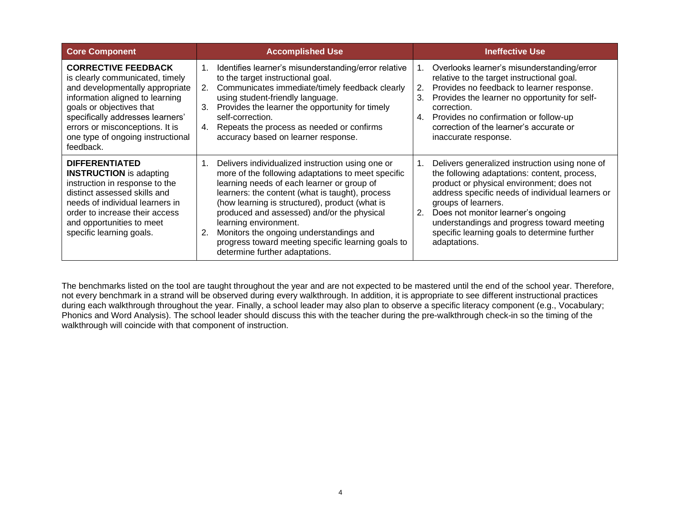| <b>Core Component</b>                                                                                                                                                                                                                                                                    | <b>Accomplished Use</b>                                                                                                                                                                                                                                                                                                                                                                                                                                                   | <b>Ineffective Use</b>                                                                                                                                                                                                                                                                                                                                                                      |  |
|------------------------------------------------------------------------------------------------------------------------------------------------------------------------------------------------------------------------------------------------------------------------------------------|---------------------------------------------------------------------------------------------------------------------------------------------------------------------------------------------------------------------------------------------------------------------------------------------------------------------------------------------------------------------------------------------------------------------------------------------------------------------------|---------------------------------------------------------------------------------------------------------------------------------------------------------------------------------------------------------------------------------------------------------------------------------------------------------------------------------------------------------------------------------------------|--|
| <b>CORRECTIVE FEEDBACK</b><br>is clearly communicated, timely<br>and developmentally appropriate<br>information aligned to learning<br>goals or objectives that<br>specifically addresses learners'<br>errors or misconceptions. It is<br>one type of ongoing instructional<br>feedback. | Identifies learner's misunderstanding/error relative<br>$1_{\cdot}$<br>to the target instructional goal.<br>Communicates immediate/timely feedback clearly<br>2.<br>using student-friendly language.<br>Provides the learner the opportunity for timely<br>3.<br>self-correction.<br>Repeats the process as needed or confirms<br>4.<br>accuracy based on learner response.                                                                                               | Overlooks learner's misunderstanding/error<br>1.<br>relative to the target instructional goal.<br>Provides no feedback to learner response.<br>2.<br>Provides the learner no opportunity for self-<br>3.<br>correction.<br>4.<br>Provides no confirmation or follow-up<br>correction of the learner's accurate or<br>inaccurate response.                                                   |  |
| <b>DIFFERENTIATED</b><br><b>INSTRUCTION</b> is adapting<br>instruction in response to the<br>distinct assessed skills and<br>needs of individual learners in<br>order to increase their access<br>and opportunities to meet<br>specific learning goals.                                  | Delivers individualized instruction using one or<br>more of the following adaptations to meet specific<br>learning needs of each learner or group of<br>learners: the content (what is taught), process<br>(how learning is structured), product (what is<br>produced and assessed) and/or the physical<br>learning environment.<br>Monitors the ongoing understandings and<br>2.<br>progress toward meeting specific learning goals to<br>determine further adaptations. | Delivers generalized instruction using none of<br>$1_{-}$<br>the following adaptations: content, process,<br>product or physical environment; does not<br>address specific needs of individual learners or<br>groups of learners.<br>Does not monitor learner's ongoing<br>2.<br>understandings and progress toward meeting<br>specific learning goals to determine further<br>adaptations. |  |

The benchmarks listed on the tool are taught throughout the year and are not expected to be mastered until the end of the school year. Therefore, not every benchmark in a strand will be observed during every walkthrough. In addition, it is appropriate to see different instructional practices during each walkthrough throughout the year. Finally, a school leader may also plan to observe a specific literacy component (e.g., Vocabulary; Phonics and Word Analysis). The school leader should discuss this with the teacher during the pre-walkthrough check-in so the timing of the walkthrough will coincide with that component of instruction.